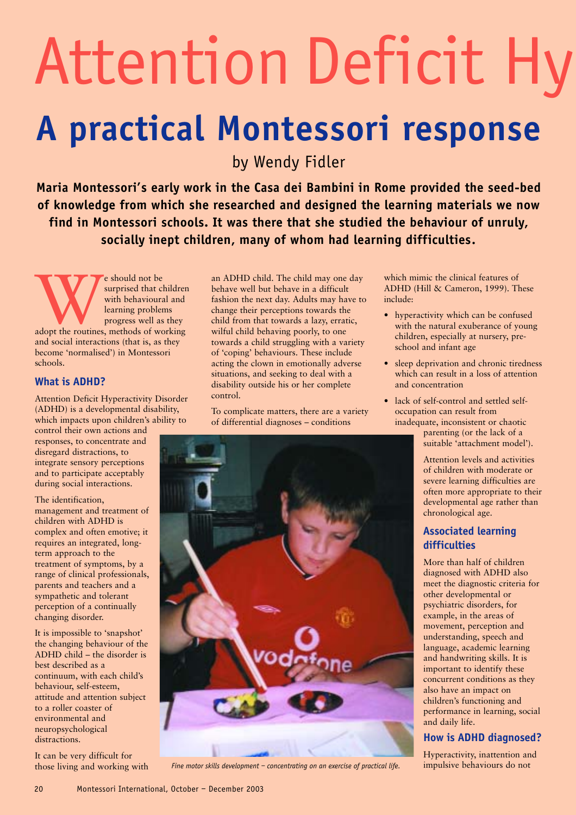## Attention Deficit Hy **A practical Montessori response**

by Wendy Fidler

**Maria Montessori's early work in the Casa dei Bambini in Rome provided the seed-bed of knowledge from which she researched and designed the learning materials we now find in Montessori schools. It was there that she studied the behaviour of unruly, socially inept children, many of whom had learning difficulties**.

Expedited that children with behavioural and learning problems<br>adopt the routines, methods of working surprised that children with behavioural and learning problems progress well as they and social interactions (that is, as they become 'normalised') in Montessori schools.

#### **What is ADHD?**

Attention Deficit Hyperactivity Disorder (ADHD) is a developmental disability, which impacts upon children's ability to

control their own actions and responses, to concentrate and disregard distractions, to integrate sensory perceptions and to participate acceptably during social interactions.

The identification, management and treatment of children with ADHD is complex and often emotive; it requires an integrated, longterm approach to the treatment of symptoms, by a range of clinical professionals, parents and teachers and a sympathetic and tolerant perception of a continually changing disorder.

It is impossible to 'snapshot' the changing behaviour of the ADHD child – the disorder is best described as a continuum, with each child's behaviour, self-esteem, attitude and attention subject to a roller coaster of environmental and neuropsychological distractions.

It can be very difficult for those living and working with

an ADHD child. The child may one day behave well but behave in a difficult fashion the next day. Adults may have to change their perceptions towards the child from that towards a lazy, erratic, wilful child behaving poorly, to one towards a child struggling with a variety of 'coping' behaviours. These include acting the clown in emotionally adverse situations, and seeking to deal with a disability outside his or her complete control.

To complicate matters, there are a variety of differential diagnoses – conditions



*Fine motor skills development – concentrating on an exercise of practical life.*

which mimic the clinical features of ADHD (Hill & Cameron, 1999). These include:

- hyperactivity which can be confused with the natural exuberance of young children, especially at nursery, preschool and infant age
- sleep deprivation and chronic tiredness which can result in a loss of attention and concentration
- lack of self-control and settled selfoccupation can result from inadequate, inconsistent or chaotic

parenting (or the lack of a suitable 'attachment model').

Attention levels and activities of children with moderate or severe learning difficulties are often more appropriate to their developmental age rather than chronological age.

#### **Associated learning difficulties**

More than half of children diagnosed with ADHD also meet the diagnostic criteria for other developmental or psychiatric disorders, for example, in the areas of movement, perception and understanding, speech and language, academic learning and handwriting skills. It is important to identify these concurrent conditions as they also have an impact on children's functioning and performance in learning, social and daily life.

#### **How is ADHD diagnosed?**

Hyperactivity, inattention and impulsive behaviours do not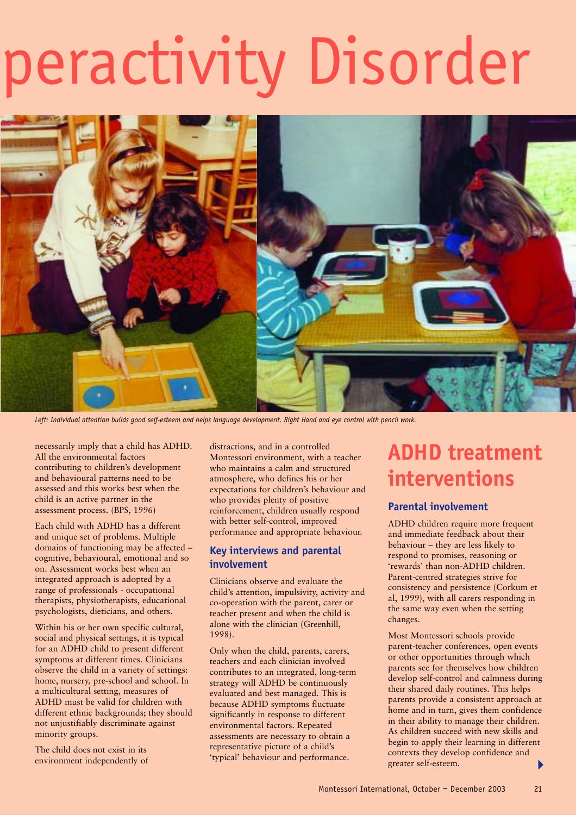# peractivity Disorder



*Left: Individual attention builds good self-esteem and helps language development. Right Hand and eye control with pencil work.*

necessarily imply that a child has ADHD. All the environmental factors contributing to children's development and behavioural patterns need to be assessed and this works best when the child is an active partner in the assessment process. (BPS, 1996)

Each child with ADHD has a different and unique set of problems. Multiple domains of functioning may be affected – cognitive, behavioural, emotional and so on. Assessment works best when an integrated approach is adopted by a range of professionals - occupational therapists, physiotherapists, educational psychologists, dieticians, and others.

Within his or her own specific cultural, social and physical settings, it is typical for an ADHD child to present different symptoms at different times. Clinicians observe the child in a variety of settings: home, nursery, pre-school and school. In a multicultural setting, measures of ADHD must be valid for children with different ethnic backgrounds; they should not unjustifiably discriminate against minority groups.

The child does not exist in its environment independently of distractions, and in a controlled Montessori environment, with a teacher who maintains a calm and structured atmosphere, who defines his or her expectations for children's behaviour and who provides plenty of positive reinforcement, children usually respond with better self-control, improved performance and appropriate behaviour.

#### **Key interviews and parental involvement**

Clinicians observe and evaluate the child's attention, impulsivity, activity and co-operation with the parent, carer or teacher present and when the child is alone with the clinician (Greenhill, 1998).

Only when the child, parents, carers, teachers and each clinician involved contributes to an integrated, long-term strategy will ADHD be continuously evaluated and best managed. This is because ADHD symptoms fluctuate significantly in response to different environmental factors. Repeated assessments are necessary to obtain a representative picture of a child's 'typical' behaviour and performance.

## **ADHD treatment interventions**

#### **Parental involvement**

ADHD children require more frequent and immediate feedback about their behaviour – they are less likely to respond to promises, reasoning or 'rewards' than non-ADHD children. Parent-centred strategies strive for consistency and persistence (Corkum et al, 1999), with all carers responding in the same way even when the setting changes.

Most Montessori schools provide parent-teacher conferences, open events or other opportunities through which parents see for themselves how children develop self-control and calmness during their shared daily routines. This helps parents provide a consistent approach at home and in turn, gives them confidence in their ability to manage their children. As children succeed with new skills and begin to apply their learning in different contexts they develop confidence and greater self-esteem.  $\blacktriangleright$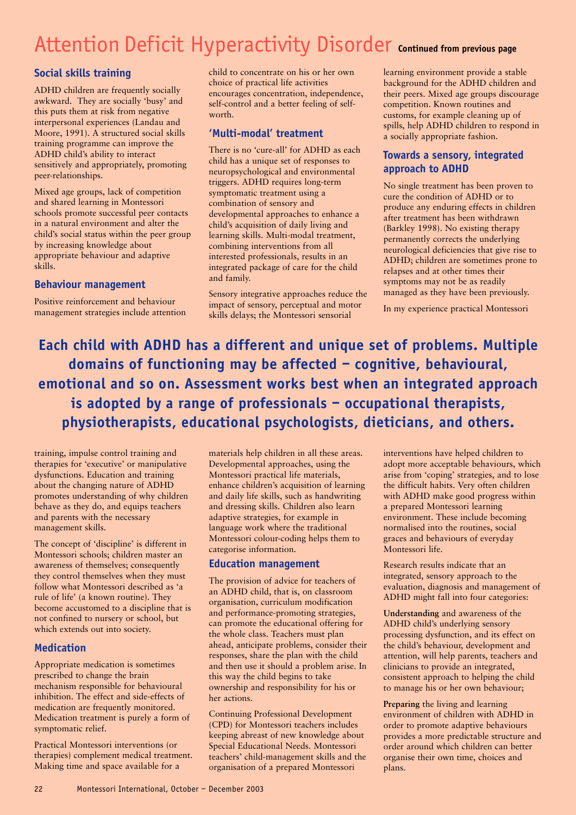## Attention Deficit Hyperactivity Disorder **Continued from previous page**

#### **Social skills training**

ADHD children are frequently socially awkward. They are socially 'busy' and this puts them at risk from negative interpersonal experiences (Landau and Moore, 1991). A structured social skills training programme can improve the ADHD child's ability to interact sensitively and appropriately, promoting peer-relationships.

Mixed age groups, lack of competition and shared learning in Montessori schools promote successful peer contacts in a natural environment and alter the child's social status within the peer group by increasing knowledge about appropriate behaviour and adaptive skills.

#### **Behaviour management**

Positive reinforcement and behaviour management strategies include attention child to concentrate on his or her own choice of practical life activities encourages concentration, independence, self-control and a better feeling of selfworth.

#### **'Multi-modal' treatment**

There is no 'cure-all' for ADHD as each child has a unique set of responses to neuropsychological and environmental triggers. ADHD requires long-term symptomatic treatment using a combination of sensory and developmental approaches to enhance a child's acquisition of daily living and learning skills. Multi-modal treatment, combining interventions from all interested professionals, results in an integrated package of care for the child and family.

Sensory integrative approaches reduce the impact of sensory, perceptual and motor skills delays; the Montessori sensorial

learning environment provide a stable background for the ADHD children and their peers. Mixed age groups discourage competition. Known routines and customs, for example cleaning up of spills, help ADHD children to respond in a socially appropriate fashion.

#### **Towards a sensory, integrated approach to ADHD**

No single treatment has been proven to cure the condition of ADHD or to produce any enduring effects in children after treatment has been withdrawn (Barkley 1998). No existing therapy permanently corrects the underlying neurological deficiencies that give rise to ADHD; children are sometimes prone to relapses and at other times their symptoms may not be as readily managed as they have been previously.

In my experience practical Montessori

**Each child with ADHD has a different and unique set of problems. Multiple domains of functioning may be affected – cognitive, behavioural, emotional and so on. Assessment works best when an integrated approach is adopted by a range of professionals – occupational therapists, physiotherapists, educational psychologists, dieticians, and others.** 

training, impulse control training and therapies for 'executive' or manipulative dysfunctions. Education and training about the changing nature of ADHD promotes understanding of why children behave as they do, and equips teachers and parents with the necessary management skills.

The concept of 'discipline' is different in Montessori schools; children master an awareness of themselves; consequently they control themselves when they must follow what Montessori described as 'a rule of life' (a known routine). They become accustomed to a discipline that is not confined to nursery or school, but which extends out into society.

#### **Medication**

Appropriate medication is sometimes prescribed to change the brain mechanism responsible for behavioural inhibition. The effect and side-effects of medication are frequently monitored. Medication treatment is purely a form of symptomatic relief.

Practical Montessori interventions (or therapies) complement medical treatment. Making time and space available for a

materials help children in all these areas. Developmental approaches, using the Montessori practical life materials, enhance children's acquisition of learning and daily life skills, such as handwriting and dressing skills. Children also learn adaptive strategies, for example in language work where the traditional Montessori colour-coding helps them to categorise information.

#### **Education management**

The provision of advice for teachers of an ADHD child, that is, on classroom organisation, curriculum modification and performance-promoting strategies, can promote the educational offering for the whole class. Teachers must plan ahead, anticipate problems, consider their responses, share the plan with the child and then use it should a problem arise. In this way the child begins to take ownership and responsibility for his or her actions.

Continuing Professional Development (CPD) for Montessori teachers includes keeping abreast of new knowledge about Special Educational Needs. Montessori teachers' child-management skills and the organisation of a prepared Montessori

interventions have helped children to adopt more acceptable behaviours, which arise from 'coping' strategies, and to lose the difficult habits. Very often children with ADHD make good progress within a prepared Montessori learning environment. These include becoming normalised into the routines, social graces and behaviours of everyday Montessori life.

Research results indicate that an integrated, sensory approach to the evaluation, diagnosis and management of ADHD might fall into four categories:

**Understanding** and awareness of the ADHD child's underlying sensory processing dysfunction, and its effect on the child's behaviour, development and attention, will help parents, teachers and clinicians to provide an integrated, consistent approach to helping the child to manage his or her own behaviour;

**Preparing** the living and learning environment of children with ADHD in order to promote adaptive behaviours provides a more predictable structure and order around which children can better organise their own time, choices and plans.